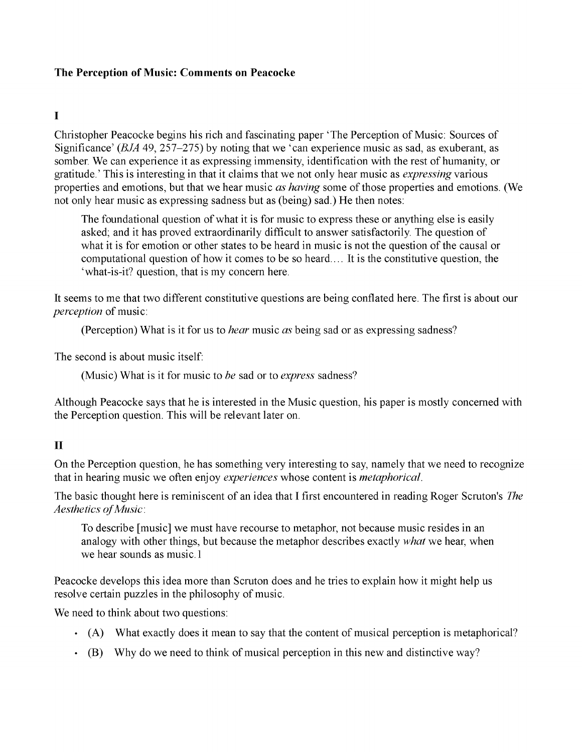#### The Perception of Music: Comments on Peacocke

## I

Christopher Peacocke begins his rich and fascinating paper 'The Perception of Music: Sources of Significance' (BJA 49, 257-275) by noting that we 'can experience music as sad, as exuberant, as somber. We can experience it as expressing immensity, identification with the rest of humanity, or gratitude.' This is interesting in that it claims that we not only hear music as expressing various properties and emotions, but that we hear music as having some of those properties and emotions. (We not only hear music as expressing sadness but as (being) sad.) He then notes:

The foundational question of what it is for music to express these or anything else is easily asked; and it has proved extraordinarily difficult to answer satisfactorily. The question of what it is for emotion or other states to be heard in music is not the question of the causal or computational question of how it comes to be so heard.... It is the constitutive question, the 'what-is-it? question, that is my concern here.

It seems to me that two different constitutive questions are being conflated here. The first is about our perception of music:

(Perception) What is it for us to *hear* music as being sad or as expressing sadness?

The second is about music itself:

(Music) What is it for music to be sad or to express sadness?

Although Peacocke says that he is interested in the Music question, his paper is mostly concerned with the Perception question. This will be relevant later on.

## II

On the Perception question, he has something very interesting to say, namely that we need to recognize that in hearing music we often enjoy *experiences* whose content is *metaphorical*.

The basic thought here is reminiscent of an idea that I first encountered in reading Roger Scruton's The Aesthetics of Music:

To describe [music] we must have recourse to metaphor, not because music resides in an analogy with other things, but because the metaphor describes exactly *what* we hear, when we hear sounds as music.1

Peacocke develops this idea more than Scruton does and he tries to explain how it might help us resolve certain puzzles in the philosophy of music.

We need to think about two questions:

- (A) What exactly does it mean to say that the content of musical perception is metaphorical? (A) What exactly does it mean to say  $\left\vert \cdot \right\rangle$  that the content of musical perception of  $\mathcal{I}$
- $\cdot$  (B) Why do we need to think of musical perception in this new and distinctive way? perception in this new and distinctive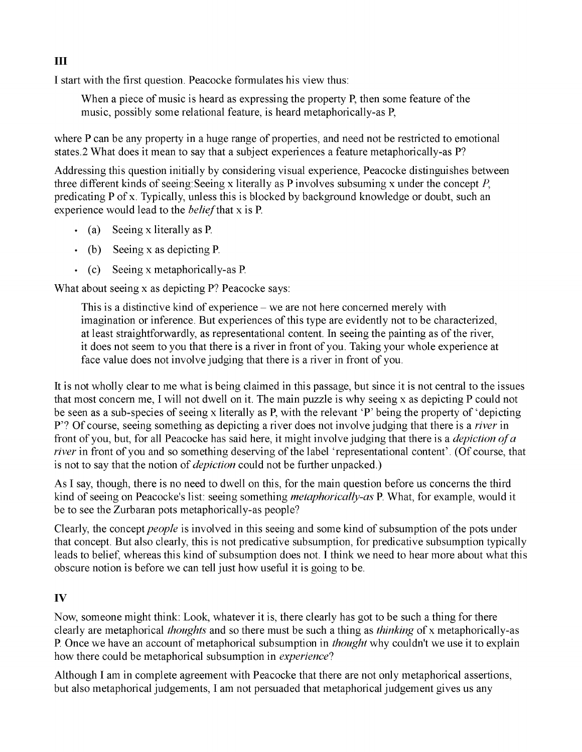I start with the first question. Peacocke formulates his view thus:

When a piece of music is heard as expressing the property P, then some feature of the music, possibly some relational feature, is heard metaphorically-as P,

where P can be any property in a huge range of properties, and need not be restricted to emotional states.2 What does it mean to say that a subject experiences a feature metaphorically-as P?

Addressing this question initially by considering visual experience, Peacocke distinguishes between three different kinds of seeing: Seeing x literally as P involves subsuming x under the concept  $P$ , predicating P of x. Typically, unless this is blocked by background knowledge or doubt, such an experience would lead to the *belief* that x is P.

- (a) Seeing x literally as P (a) Seeing x literally as P
- (b) Seeing x as depicting P. (b) Seeing x as depicting P.
- (c) Seeing x metaphorically-as P (c) Seeing x metaphorically-as P

What about seeing x as depicting P? Peacocke says:

This is a distinctive kind of experience  $-$  we are not here concerned merely with imagination or inference. But experiences of this type are evidently not to be characterized, at least straightforwardly, as representational content. In seeing the painting as of the river, it does not seem to you that there is a river in front of you. Taking your whole experience at face value does not involve judging that there is a river in front of you.

It is not wholly clear to me what is being claimed in this passage, but since it is not central to the issues that most concern me, I will not dwell on it. The main puzzle is why seeing x as depicting P could not be seen as a sub-species of seeing x literally as P, with the relevant 'P' being the property of 'depicting P'? Of course, seeing something as depicting a river does not involve judging that there is a *river* in front of you, but, for all Peacocke has said here, it might involve judging that there is a *depiction of a* river in front of you and so something deserving of the label 'representational content'. (Of course, that is not to say that the notion of *depiction* could not be further unpacked.)

As I say, though, there is no need to dwell on this, for the main question before us concerns the third kind of seeing on Peacocke's list: seeing something *metaphorically-as* P. What, for example, would it be to see the Zurbaran pots metaphorically-as people?

Clearly, the concept *people* is involved in this seeing and some kind of subsumption of the pots under that concept. But also clearly, this is not predicative subsumption, for predicative subsumption typically leads to belief, whereas this kind of subsumption does not. I think we need to hear more about what this obscure notion is before we can tell just how useful it is going to be.

## IV

Now, someone might think: Look, whatever it is, there clearly has got to be such a thing for there clearly are metaphorical thoughts and so there must be such a thing as thinking of x metaphorically-as P. Once we have an account of metaphorical subsumption in *thought* why couldn't we use it to explain how there could be metaphorical subsumption in *experience*?

Although I am in complete agreement with Peacocke that there are not only metaphorical assertions, but also metaphorical judgements, I am not persuaded that metaphorical judgement gives us any

#### III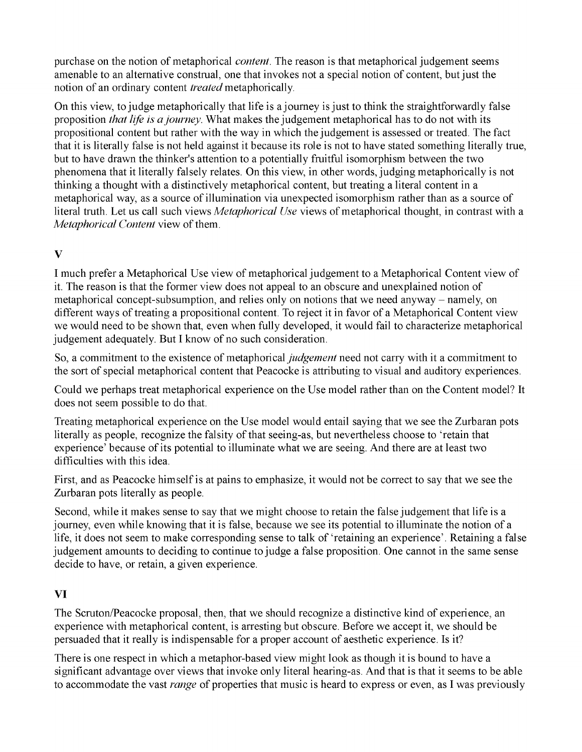purchase on the notion of metaphorical *content*. The reason is that metaphorical judgement seems amenable to an alternative construal, one that invokes not a special notion of content, but just the notion of an ordinary content *treated* metaphorically.

On this view, to judge metaphorically that life is a journey is just to think the straightforwardly false proposition *that life is a journey*. What makes the judgement metaphorical has to do not with its propositional content but rather with the way in which the judgement is assessed or treated. The fact that it is literally false is not held against it because its role is not to have stated something literally true, but to have drawn the thinker's attention to a potentially fruitful isomorphism between the two phenomena that it literally falsely relates. On this view, in other words, judging metaphorically is not thinking a thought with a distinctively metaphorical content, but treating a literal content in a metaphorical way, as a source of illumination via unexpected isomorphism rather than as a source of literal truth. Let us call such views *Metaphorical Use* views of metaphorical thought, in contrast with a Metaphorical Content view of them.

# V

I much prefer a Metaphorical Use view of metaphorical judgement to a Metaphorical Content view of it. The reason is that the former view does not appeal to an obscure and unexplained notion of metaphorical concept-subsumption, and relies only on notions that we need anyway - namely, on different ways of treating a propositional content. To reject it in favor of a Metaphorical Content view we would need to be shown that, even when fully developed, it would fail to characterize metaphorical judgement adequately. But I know of no such consideration.

So, a commitment to the existence of metaphorical *judgement* need not carry with it a commitment to the sort of special metaphorical content that Peacocke is attributing to visual and auditory experiences.

Could we perhaps treat metaphorical experience on the Use model rather than on the Content model? It does not seem possible to do that.

Treating metaphorical experience on the Use model would entail saying that we see the Zurbaran pots literally as people, recognize the falsity of that seeing-as, but nevertheless choose to 'retain that experience' because of its potential to illuminate what we are seeing. And there are at least two difficulties with this idea.

First, and as Peacocke himself is at pains to emphasize, it would not be correct to say that we see the Zurbaran pots literally as people.

Second, while it makes sense to say that we might choose to retain the false judgement that life is a journey, even while knowing that it is false, because we see its potential to illuminate the notion of a life, it does not seem to make corresponding sense to talk of 'retaining an experience'. Retaining a false judgement amounts to deciding to continue to judge a false proposition. One cannot in the same sense decide to have, or retain, a given experience.

# VI

The Scruton/Peacocke proposal, then, that we should recognize a distinctive kind of experience, an experience with metaphorical content, is arresting but obscure. Before we accept it, we should be persuaded that it really is indispensable for a proper account of aesthetic experience. Is it?

There is one respect in which a metaphor-based view might look as though it is bound to have a significant advantage over views that invoke only literal hearing-as. And that is that it seems to be able to accommodate the vast *range* of properties that music is heard to express or even, as I was previously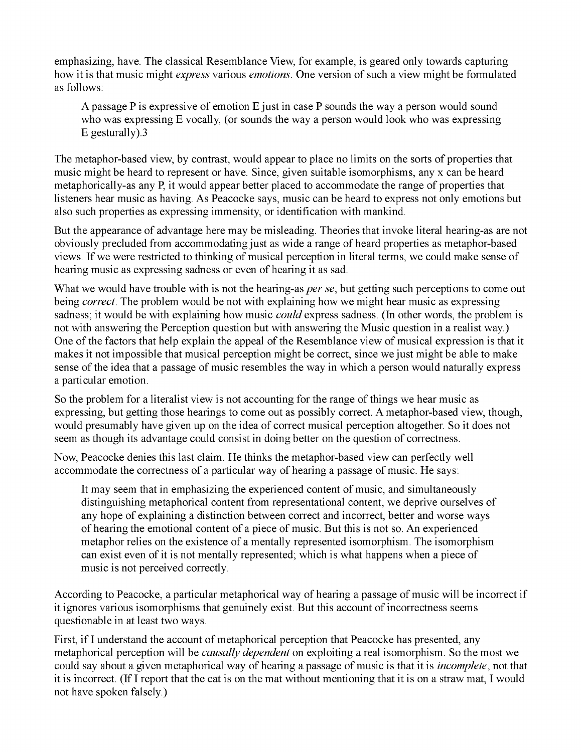emphasizing, have. The classical Resemblance View, for example, is geared only towards capturing how it is that music might *express* various *emotions*. One version of such a view might be formulated as follows:

A passage P is expressive of emotion E just in case P sounds the way a person would sound who was expressing E vocally, (or sounds the way a person would look who was expressing E gesturally).3

The metaphor-based view, by contrast, would appear to place no limits on the sorts of properties that music might be heard to represent or have. Since, given suitable isomorphisms, any x can be heard metaphorically-as any P, it would appear better placed to accommodate the range of properties that listeners hear music as having. As Peacocke says, music can be heard to express not only emotions but also such properties as expressing immensity, or identification with mankind.

But the appearance of advantage here may be misleading. Theories that invoke literal hearing-as are not obviously precluded from accommodating just as wide a range of heard properties as metaphor-based views. If we were restricted to thinking of musical perception in literal terms, we could make sense of hearing music as expressing sadness or even of hearing it as sad.

What we would have trouble with is not the hearing-as *per se*, but getting such perceptions to come out being *correct*. The problem would be not with explaining how we might hear music as expressing sadness; it would be with explaining how music *could* express sadness. (In other words, the problem is not with answering the Perception question but with answering the Music question in a realist way.) One of the factors that help explain the appeal of the Resemblance view of musical expression is that it makes it not impossible that musical perception might be correct, since we just might be able to make sense of the idea that a passage of music resembles the way in which a person would naturally express a particular emotion.

So the problem for a literalist view is not accounting for the range of things we hear music as expressing, but getting those hearings to come out as possibly correct. A metaphor-based view, though, would presumably have given up on the idea of correct musical perception altogether. So it does not seem as though its advantage could consist in doing better on the question of correctness.

Now, Peacocke denies this last claim. He thinks the metaphor-based view can perfectly well accommodate the correctness of a particular way of hearing a passage of music. He says:

It may seem that in emphasizing the experienced content of music, and simultaneously distinguishing metaphorical content from representational content, we deprive ourselves of any hope of explaining a distinction between correct and incorrect, better and worse ways of hearing the emotional content of a piece of music. But this is not so. An experienced metaphor relies on the existence of a mentally represented isomorphism. The isomorphism can exist even of it is not mentally represented; which is what happens when a piece of music is not perceived correctly.

According to Peacocke, a particular metaphorical way of hearing a passage of music will be incorrect if it ignores various isomorphisms that genuinely exist. But this account of incorrectness seems questionable in at least two ways.

First, if I understand the account of metaphorical perception that Peacocke has presented, any metaphorical perception will be *causally dependent* on exploiting a real isomorphism. So the most we could say about a given metaphorical way of hearing a passage of music is that it is *incomplete*, not that it is incorrect. (If I report that the cat is on the mat without mentioning that it is on a straw mat, I would not have spoken falsely.)